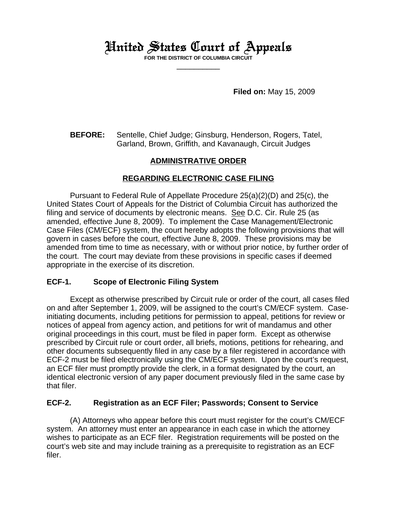**FOR THE DISTRICT OF COLUMBIA CIRCUIT** \_\_\_\_\_\_\_\_\_\_

**Filed on:** May 15, 2009

**BEFORE:** Sentelle, Chief Judge; Ginsburg, Henderson, Rogers, Tatel, Garland, Brown, Griffith, and Kavanaugh, Circuit Judges

#### **ADMINISTRATIVE ORDER**

#### **REGARDING ELECTRONIC CASE FILING**

Pursuant to Federal Rule of Appellate Procedure 25(a)(2)(D) and 25(c), the United States Court of Appeals for the District of Columbia Circuit has authorized the filing and service of documents by electronic means. See D.C. Cir. Rule 25 (as amended, effective June 8, 2009). To implement the Case Management/Electronic Case Files (CM/ECF) system, the court hereby adopts the following provisions that will govern in cases before the court, effective June 8, 2009. These provisions may be amended from time to time as necessary, with or without prior notice, by further order of the court. The court may deviate from these provisions in specific cases if deemed appropriate in the exercise of its discretion.

#### **ECF-1. Scope of Electronic Filing System**

Except as otherwise prescribed by Circuit rule or order of the court, all cases filed on and after September 1, 2009, will be assigned to the court's CM/ECF system. Caseinitiating documents, including petitions for permission to appeal, petitions for review or notices of appeal from agency action, and petitions for writ of mandamus and other original proceedings in this court, must be filed in paper form. Except as otherwise prescribed by Circuit rule or court order, all briefs, motions, petitions for rehearing, and other documents subsequently filed in any case by a filer registered in accordance with ECF-2 must be filed electronically using the CM/ECF system. Upon the court's request, an ECF filer must promptly provide the clerk, in a format designated by the court, an identical electronic version of any paper document previously filed in the same case by that filer.

#### **ECF-2. Registration as an ECF Filer; Passwords; Consent to Service**

(A) Attorneys who appear before this court must register for the court's CM/ECF system. An attorney must enter an appearance in each case in which the attorney wishes to participate as an ECF filer. Registration requirements will be posted on the court's web site and may include training as a prerequisite to registration as an ECF filer.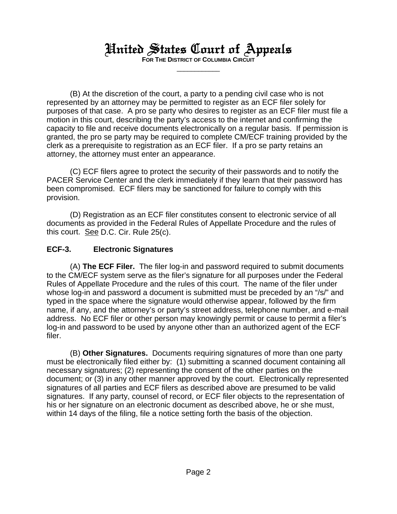**FOR THE DISTRICT OF COLUMBIA CIRCUIT** \_\_\_\_\_\_\_\_\_\_\_\_

(B) At the discretion of the court, a party to a pending civil case who is not represented by an attorney may be permitted to register as an ECF filer solely for purposes of that case. A pro se party who desires to register as an ECF filer must file a motion in this court, describing the party's access to the internet and confirming the capacity to file and receive documents electronically on a regular basis. If permission is granted, the pro se party may be required to complete CM/ECF training provided by the clerk as a prerequisite to registration as an ECF filer. If a pro se party retains an attorney, the attorney must enter an appearance.

(C) ECF filers agree to protect the security of their passwords and to notify the PACER Service Center and the clerk immediately if they learn that their password has been compromised. ECF filers may be sanctioned for failure to comply with this provision.

(D) Registration as an ECF filer constitutes consent to electronic service of all documents as provided in the Federal Rules of Appellate Procedure and the rules of this court. See D.C. Cir. Rule 25(c).

### **ECF-3. Electronic Signatures**

(A) **The ECF Filer.** The filer log-in and password required to submit documents to the CM/ECF system serve as the filer's signature for all purposes under the Federal Rules of Appellate Procedure and the rules of this court. The name of the filer under whose log-in and password a document is submitted must be preceded by an "/s/" and typed in the space where the signature would otherwise appear, followed by the firm name, if any, and the attorney's or party's street address, telephone number, and e-mail address. No ECF filer or other person may knowingly permit or cause to permit a filer's log-in and password to be used by anyone other than an authorized agent of the ECF filer.

(B) **Other Signatures.** Documents requiring signatures of more than one party must be electronically filed either by: (1) submitting a scanned document containing all necessary signatures; (2) representing the consent of the other parties on the document; or (3) in any other manner approved by the court. Electronically represented signatures of all parties and ECF filers as described above are presumed to be valid signatures. If any party, counsel of record, or ECF filer objects to the representation of his or her signature on an electronic document as described above, he or she must, within 14 days of the filing, file a notice setting forth the basis of the objection.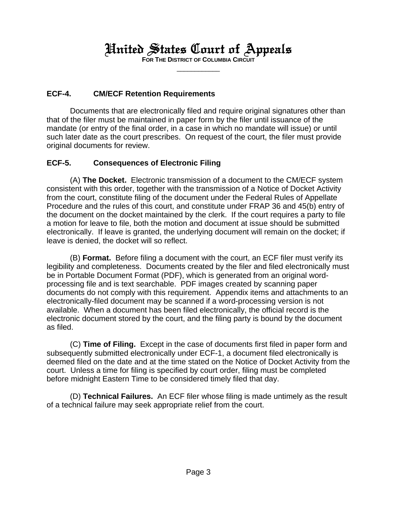**FOR THE DISTRICT OF COLUMBIA CIRCUIT** \_\_\_\_\_\_\_\_\_\_\_\_

### **ECF-4. CM/ECF Retention Requirements**

Documents that are electronically filed and require original signatures other than that of the filer must be maintained in paper form by the filer until issuance of the mandate (or entry of the final order, in a case in which no mandate will issue) or until such later date as the court prescribes. On request of the court, the filer must provide original documents for review.

### **ECF-5. Consequences of Electronic Filing**

(A) **The Docket.** Electronic transmission of a document to the CM/ECF system consistent with this order, together with the transmission of a Notice of Docket Activity from the court, constitute filing of the document under the Federal Rules of Appellate Procedure and the rules of this court, and constitute under FRAP 36 and 45(b) entry of the document on the docket maintained by the clerk. If the court requires a party to file a motion for leave to file, both the motion and document at issue should be submitted electronically. If leave is granted, the underlying document will remain on the docket; if leave is denied, the docket will so reflect.

(B) **Format.** Before filing a document with the court, an ECF filer must verify its legibility and completeness. Documents created by the filer and filed electronically must be in Portable Document Format (PDF), which is generated from an original wordprocessing file and is text searchable. PDF images created by scanning paper documents do not comply with this requirement. Appendix items and attachments to an electronically-filed document may be scanned if a word-processing version is not available. When a document has been filed electronically, the official record is the electronic document stored by the court, and the filing party is bound by the document as filed.

(C) **Time of Filing.** Except in the case of documents first filed in paper form and subsequently submitted electronically under ECF-1, a document filed electronically is deemed filed on the date and at the time stated on the Notice of Docket Activity from the court. Unless a time for filing is specified by court order, filing must be completed before midnight Eastern Time to be considered timely filed that day.

(D) **Technical Failures.** An ECF filer whose filing is made untimely as the result of a technical failure may seek appropriate relief from the court.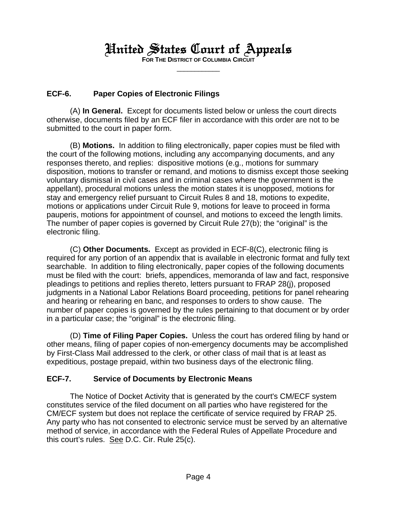**FOR THE DISTRICT OF COLUMBIA CIRCUIT** \_\_\_\_\_\_\_\_\_\_\_\_

### **ECF-6. Paper Copies of Electronic Filings**

(A) **In General.** Except for documents listed below or unless the court directs otherwise, documents filed by an ECF filer in accordance with this order are not to be submitted to the court in paper form.

(B) **Motions.** In addition to filing electronically, paper copies must be filed with the court of the following motions, including any accompanying documents, and any responses thereto, and replies: dispositive motions (e.g., motions for summary disposition, motions to transfer or remand, and motions to dismiss except those seeking voluntary dismissal in civil cases and in criminal cases where the government is the appellant), procedural motions unless the motion states it is unopposed, motions for stay and emergency relief pursuant to Circuit Rules 8 and 18, motions to expedite, motions or applications under Circuit Rule 9, motions for leave to proceed in forma pauperis, motions for appointment of counsel, and motions to exceed the length limits. The number of paper copies is governed by Circuit Rule 27(b); the "original" is the electronic filing.

(C) **Other Documents.** Except as provided in ECF-8(C), electronic filing is required for any portion of an appendix that is available in electronic format and fully text searchable. In addition to filing electronically, paper copies of the following documents must be filed with the court: briefs, appendices, memoranda of law and fact, responsive pleadings to petitions and replies thereto, letters pursuant to FRAP 28(j), proposed judgments in a National Labor Relations Board proceeding, petitions for panel rehearing and hearing or rehearing en banc, and responses to orders to show cause. The number of paper copies is governed by the rules pertaining to that document or by order in a particular case; the "original" is the electronic filing.

(D) **Time of Filing Paper Copies.** Unless the court has ordered filing by hand or other means, filing of paper copies of non-emergency documents may be accomplished by First-Class Mail addressed to the clerk, or other class of mail that is at least as expeditious, postage prepaid, within two business days of the electronic filing.

### **ECF-7. Service of Documents by Electronic Means**

The Notice of Docket Activity that is generated by the court's CM/ECF system constitutes service of the filed document on all parties who have registered for the CM/ECF system but does not replace the certificate of service required by FRAP 25. Any party who has not consented to electronic service must be served by an alternative method of service, in accordance with the Federal Rules of Appellate Procedure and this court's rules. See D.C. Cir. Rule 25(c).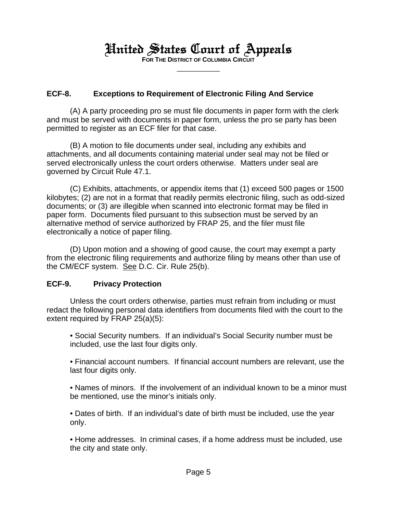**FOR THE DISTRICT OF COLUMBIA CIRCUIT** \_\_\_\_\_\_\_\_\_\_\_\_

### **ECF-8. Exceptions to Requirement of Electronic Filing And Service**

(A) A party proceeding pro se must file documents in paper form with the clerk and must be served with documents in paper form, unless the pro se party has been permitted to register as an ECF filer for that case.

(B) A motion to file documents under seal, including any exhibits and attachments, and all documents containing material under seal may not be filed or served electronically unless the court orders otherwise. Matters under seal are governed by Circuit Rule 47.1.

(C) Exhibits, attachments, or appendix items that (1) exceed 500 pages or 1500 kilobytes; (2) are not in a format that readily permits electronic filing, such as odd-sized documents; or (3) are illegible when scanned into electronic format may be filed in paper form. Documents filed pursuant to this subsection must be served by an alternative method of service authorized by FRAP 25, and the filer must file electronically a notice of paper filing.

(D) Upon motion and a showing of good cause, the court may exempt a party from the electronic filing requirements and authorize filing by means other than use of the CM/ECF system. See D.C. Cir. Rule 25(b).

#### **ECF-9. Privacy Protection**

Unless the court orders otherwise, parties must refrain from including or must redact the following personal data identifiers from documents filed with the court to the extent required by FRAP 25(a)(5):

• Social Security numbers. If an individual's Social Security number must be included, use the last four digits only.

• Financial account numbers. If financial account numbers are relevant, use the last four digits only.

• Names of minors. If the involvement of an individual known to be a minor must be mentioned, use the minor's initials only.

• Dates of birth. If an individual's date of birth must be included, use the year only.

• Home addresses. In criminal cases, if a home address must be included, use the city and state only.